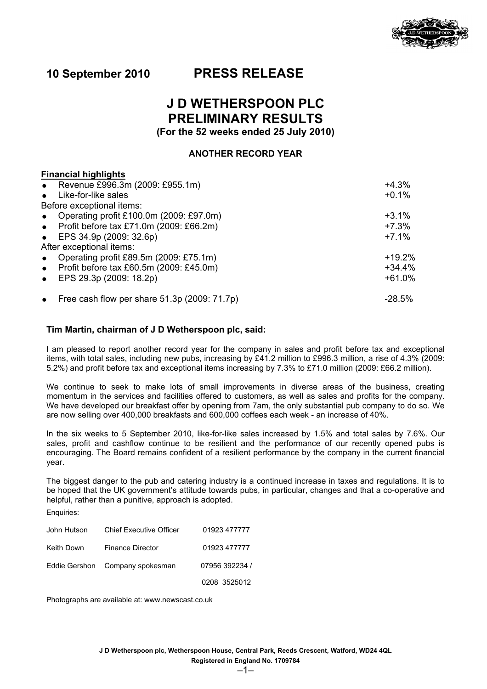

## **10 September 2010 PRESS RELEASE**

# **J D WETHERSPOON PLC PRELIMINARY RESULTS**

**(For the 52 weeks ended 25 July 2010)**

## **ANOTHER RECORD YEAR**

| <b>Financial highlights</b>                          |          |
|------------------------------------------------------|----------|
| • Revenue £996.3m (2009: £955.1m)                    | $+4.3%$  |
| • Like-for-like sales                                | $+0.1%$  |
| Before exceptional items:                            |          |
| Operating profit £100.0m (2009: £97.0m)<br>$\bullet$ | $+3.1%$  |
| • Profit before $tax £71.0m$ (2009: £66.2m)          | $+7.3%$  |
| • EPS $34.9p(2009:32.6p)$                            | $+7.1%$  |
| After exceptional items:                             |          |
| Operating profit £89.5m (2009: £75.1m)<br>$\bullet$  | $+19.2%$ |
| Profit before tax £60.5m (2009: £45.0m)<br>$\bullet$ | $+34.4%$ |
| EPS 29.3p (2009: 18.2p)<br>$\bullet$                 | $+61.0%$ |
| • Free cash flow per share $51.3p$ (2009: $71.7p$ )  | -28.5%   |

## **Tim Martin, chairman of J D Wetherspoon plc, said:**

I am pleased to report another record year for the company in sales and profit before tax and exceptional items, with total sales, including new pubs, increasing by £41.2 million to £996.3 million, a rise of 4.3% (2009: 5.2%) and profit before tax and exceptional items increasing by 7.3% to £71.0 million (2009: £66.2 million).

We continue to seek to make lots of small improvements in diverse areas of the business, creating momentum in the services and facilities offered to customers, as well as sales and profits for the company. We have developed our breakfast offer by opening from 7am, the only substantial pub company to do so. We are now selling over 400,000 breakfasts and 600,000 coffees each week - an increase of 40%.

In the six weeks to 5 September 2010, like-for-like sales increased by 1.5% and total sales by 7.6%. Our sales, profit and cashflow continue to be resilient and the performance of our recently opened pubs is encouraging. The Board remains confident of a resilient performance by the company in the current financial year.

The biggest danger to the pub and catering industry is a continued increase in taxes and regulations. It is to be hoped that the UK government's attitude towards pubs, in particular, changes and that a co-operative and helpful, rather than a punitive, approach is adopted.

Enquiries:

| John Hutson | <b>Chief Executive Officer</b>  | 01923 477777   |
|-------------|---------------------------------|----------------|
| Keith Down  | <b>Finance Director</b>         | 01923 477777   |
|             | Eddie Gershon Company spokesman | 07956 392234 / |
|             |                                 | 0208 3525012   |

Photographs are available at: www.newscast.co.uk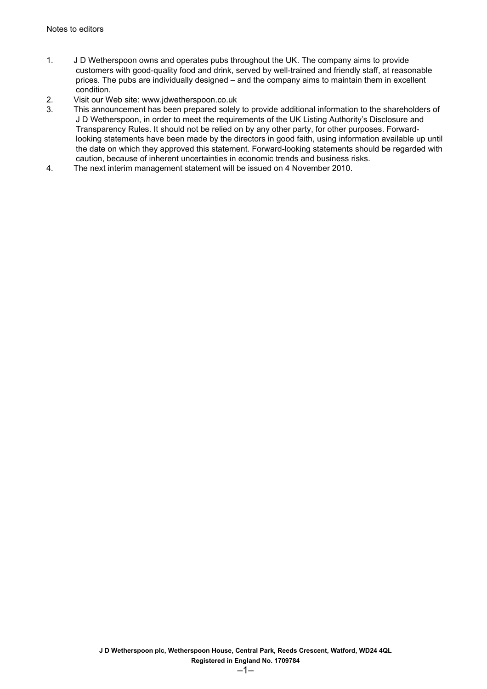- 1. J D Wetherspoon owns and operates pubs throughout the UK. The company aims to provide customers with good-quality food and drink, served by well-trained and friendly staff, at reasonable prices. The pubs are individually designed – and the company aims to maintain them in excellent condition.
- 2. Visit our Web site: www.jdwetherspoon.co.uk
- 3. This announcement has been prepared solely to provide additional information to the shareholders of J D Wetherspoon, in order to meet the requirements of the UK Listing Authority's Disclosure and Transparency Rules. It should not be relied on by any other party, for other purposes. Forwardlooking statements have been made by the directors in good faith, using information available up until the date on which they approved this statement. Forward-looking statements should be regarded with caution, because of inherent uncertainties in economic trends and business risks.
- 4. The next interim management statement will be issued on 4 November 2010.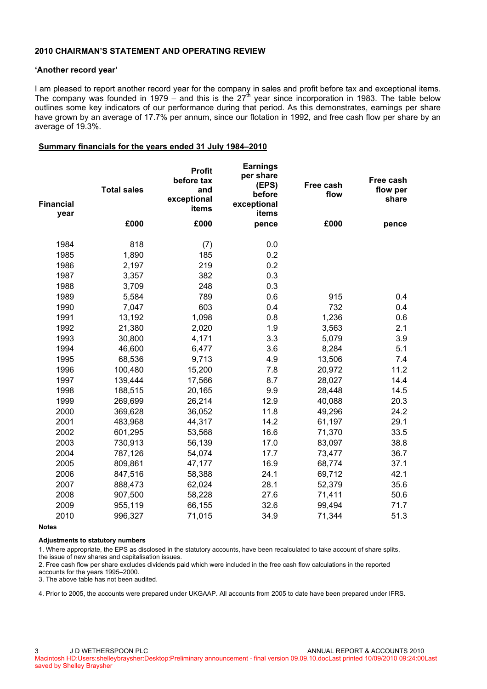## **2010 CHAIRMAN'S STATEMENT AND OPERATING REVIEW**

#### **'Another record year'**

I am pleased to report another record year for the company in sales and profit before tax and exceptional items. The company was founded in 1979 – and this is the 27<sup>th</sup> year since incorporation in 1983. The table below outlines some key indicators of our performance during that period. As this demonstrates, earnings per share have grown by an average of 17.7% per annum, since our flotation in 1992, and free cash flow per share by an average of 19.3%.

#### **Summary financials for the years ended 31 July 1984–2010**

| <b>Financial</b><br>year | <b>Total sales</b> | <b>Profit</b><br>before tax<br>and<br>exceptional<br>items | <b>Earnings</b><br>per share<br>(EPS)<br>before<br>exceptional<br>items | Free cash<br>flow | Free cash<br>flow per<br>share |
|--------------------------|--------------------|------------------------------------------------------------|-------------------------------------------------------------------------|-------------------|--------------------------------|
|                          | £000               | £000                                                       | pence                                                                   | £000              | pence                          |
| 1984                     | 818                | (7)                                                        | 0.0                                                                     |                   |                                |
| 1985                     | 1,890              | 185                                                        | 0.2                                                                     |                   |                                |
| 1986                     | 2,197              | 219                                                        | 0.2                                                                     |                   |                                |
| 1987                     | 3,357              | 382                                                        | 0.3                                                                     |                   |                                |
| 1988                     | 3,709              | 248                                                        | 0.3                                                                     |                   |                                |
| 1989                     | 5,584              | 789                                                        | 0.6                                                                     | 915               | 0.4                            |
| 1990                     | 7,047              | 603                                                        | 0.4                                                                     | 732               | 0.4                            |
| 1991                     | 13,192             | 1,098                                                      | 0.8                                                                     | 1,236             | 0.6                            |
| 1992                     | 21,380             | 2,020                                                      | 1.9                                                                     | 3,563             | 2.1                            |
| 1993                     | 30,800             | 4,171                                                      | 3.3                                                                     | 5,079             | 3.9                            |
| 1994                     | 46,600             | 6,477                                                      | 3.6                                                                     | 8,284             | 5.1                            |
| 1995                     | 68,536             | 9,713                                                      | 4.9                                                                     | 13,506            | 7.4                            |
| 1996                     | 100,480            | 15,200                                                     | 7.8                                                                     | 20,972            | 11.2                           |
| 1997                     | 139,444            | 17,566                                                     | 8.7                                                                     | 28,027            | 14.4                           |
| 1998                     | 188,515            | 20,165                                                     | 9.9                                                                     | 28,448            | 14.5                           |
| 1999                     | 269,699            | 26,214                                                     | 12.9                                                                    | 40,088            | 20.3                           |
| 2000                     | 369,628            | 36,052                                                     | 11.8                                                                    | 49,296            | 24.2                           |
| 2001                     | 483,968            | 44,317                                                     | 14.2                                                                    | 61,197            | 29.1                           |
| 2002                     | 601,295            | 53,568                                                     | 16.6                                                                    | 71,370            | 33.5                           |
| 2003                     | 730,913            | 56,139                                                     | 17.0                                                                    | 83,097            | 38.8                           |
| 2004                     | 787,126            | 54,074                                                     | 17.7                                                                    | 73,477            | 36.7                           |
| 2005                     | 809,861            | 47,177                                                     | 16.9                                                                    | 68,774            | 37.1                           |
| 2006                     | 847,516            | 58,388                                                     | 24.1                                                                    | 69,712            | 42.1                           |
| 2007                     | 888,473            | 62,024                                                     | 28.1                                                                    | 52,379            | 35.6                           |
| 2008                     | 907,500            | 58,228                                                     | 27.6                                                                    | 71,411            | 50.6                           |
| 2009                     | 955,119            | 66,155                                                     | 32.6                                                                    | 99,494            | 71.7                           |
| 2010                     | 996,327            | 71,015                                                     | 34.9                                                                    | 71,344            | 51.3                           |

**Notes**

#### **Adjustments to statutory numbers**

1. Where appropriate, the EPS as disclosed in the statutory accounts, have been recalculated to take account of share splits, the issue of new shares and capitalisation issues.

2. Free cash flow per share excludes dividends paid which were included in the free cash flow calculations in the reported accounts for the years 1995–2000.

3. The above table has not been audited.

4. Prior to 2005, the accounts were prepared under UKGAAP. All accounts from 2005 to date have been prepared under IFRS.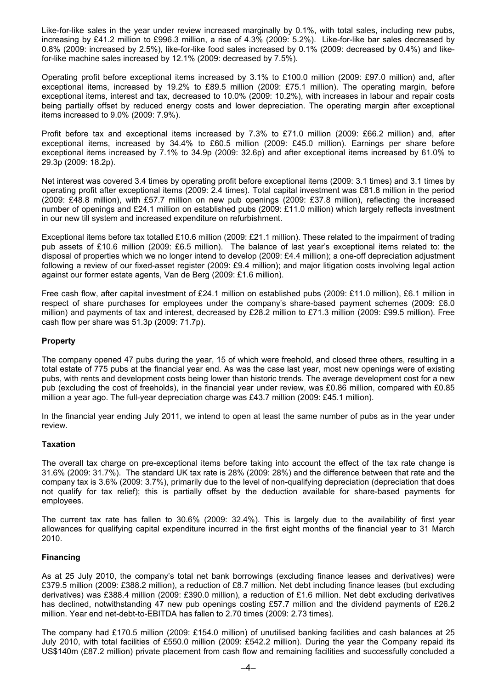Like-for-like sales in the year under review increased marginally by 0.1%, with total sales, including new pubs, increasing by £41.2 million to £996.3 million, a rise of 4.3% (2009: 5.2%). Like-for-like bar sales decreased by 0.8% (2009: increased by 2.5%), like-for-like food sales increased by 0.1% (2009: decreased by 0.4%) and likefor-like machine sales increased by 12.1% (2009: decreased by 7.5%).

Operating profit before exceptional items increased by 3.1% to £100.0 million (2009: £97.0 million) and, after exceptional items, increased by 19.2% to £89.5 million (2009: £75.1 million). The operating margin, before exceptional items, interest and tax, decreased to 10.0% (2009: 10.2%), with increases in labour and repair costs being partially offset by reduced energy costs and lower depreciation. The operating margin after exceptional items increased to 9.0% (2009: 7.9%).

Profit before tax and exceptional items increased by 7.3% to £71.0 million (2009: £66.2 million) and, after exceptional items, increased by 34.4% to £60.5 million (2009: £45.0 million). Earnings per share before exceptional items increased by 7.1% to 34.9p (2009: 32.6p) and after exceptional items increased by 61.0% to 29.3p (2009: 18.2p).

Net interest was covered 3.4 times by operating profit before exceptional items (2009: 3.1 times) and 3.1 times by operating profit after exceptional items (2009: 2.4 times). Total capital investment was £81.8 million in the period (2009: £48.8 million), with £57.7 million on new pub openings (2009: £37.8 million), reflecting the increased number of openings and £24.1 million on established pubs (2009: £11.0 million) which largely reflects investment in our new till system and increased expenditure on refurbishment.

Exceptional items before tax totalled £10.6 million (2009: £21.1 million). These related to the impairment of trading pub assets of £10.6 million (2009: £6.5 million). The balance of last year's exceptional items related to: the disposal of properties which we no longer intend to develop (2009: £4.4 million); a one-off depreciation adjustment following a review of our fixed-asset register (2009: £9.4 million); and major litigation costs involving legal action against our former estate agents, Van de Berg (2009: £1.6 million).

Free cash flow, after capital investment of £24.1 million on established pubs (2009: £11.0 million), £6.1 million in respect of share purchases for employees under the company's share-based payment schemes (2009: £6.0 million) and payments of tax and interest, decreased by £28.2 million to £71.3 million (2009: £99.5 million). Free cash flow per share was 51.3p (2009: 71.7p).

## **Property**

The company opened 47 pubs during the year, 15 of which were freehold, and closed three others, resulting in a total estate of 775 pubs at the financial year end. As was the case last year, most new openings were of existing pubs, with rents and development costs being lower than historic trends. The average development cost for a new pub (excluding the cost of freeholds), in the financial year under review, was £0.86 million, compared with £0.85 million a year ago. The full-year depreciation charge was £43.7 million (2009: £45.1 million).

In the financial year ending July 2011, we intend to open at least the same number of pubs as in the year under review.

## **Taxation**

The overall tax charge on pre-exceptional items before taking into account the effect of the tax rate change is 31.6% (2009: 31.7%). The standard UK tax rate is 28% (2009: 28%) and the difference between that rate and the company tax is 3.6% (2009: 3.7%), primarily due to the level of non-qualifying depreciation (depreciation that does not qualify for tax relief); this is partially offset by the deduction available for share-based payments for employees.

The current tax rate has fallen to 30.6% (2009: 32.4%). This is largely due to the availability of first year allowances for qualifying capital expenditure incurred in the first eight months of the financial year to 31 March 2010.

## **Financing**

As at 25 July 2010, the company's total net bank borrowings (excluding finance leases and derivatives) were £379.5 million (2009: £388.2 million), a reduction of £8.7 million. Net debt including finance leases (but excluding derivatives) was £388.4 million (2009: £390.0 million), a reduction of £1.6 million. Net debt excluding derivatives has declined, notwithstanding 47 new pub openings costing £57.7 million and the dividend payments of £26.2 million. Year end net-debt-to-EBITDA has fallen to 2.70 times (2009: 2.73 times).

The company had £170.5 million (2009: £154.0 million) of unutilised banking facilities and cash balances at 25 July 2010, with total facilities of £550.0 million (2009: £542.2 million). During the year the Company repaid its US\$140m (£87.2 million) private placement from cash flow and remaining facilities and successfully concluded a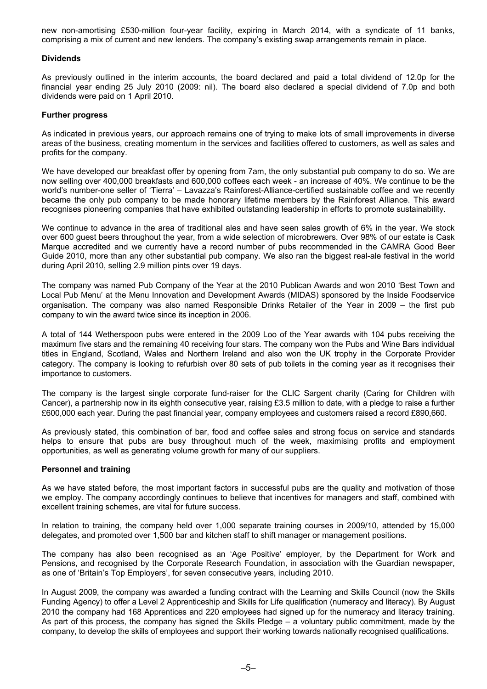new non-amortising £530-million four-year facility, expiring in March 2014, with a syndicate of 11 banks, comprising a mix of current and new lenders. The company's existing swap arrangements remain in place.

### **Dividends**

As previously outlined in the interim accounts, the board declared and paid a total dividend of 12.0p for the financial year ending 25 July 2010 (2009: nil). The board also declared a special dividend of 7.0p and both dividends were paid on 1 April 2010.

#### **Further progress**

As indicated in previous years, our approach remains one of trying to make lots of small improvements in diverse areas of the business, creating momentum in the services and facilities offered to customers, as well as sales and profits for the company.

We have developed our breakfast offer by opening from 7am, the only substantial pub company to do so. We are now selling over 400,000 breakfasts and 600,000 coffees each week - an increase of 40%. We continue to be the world's number-one seller of 'Tierra' – Lavazza's Rainforest-Alliance-certified sustainable coffee and we recently became the only pub company to be made honorary lifetime members by the Rainforest Alliance. This award recognises pioneering companies that have exhibited outstanding leadership in efforts to promote sustainability.

We continue to advance in the area of traditional ales and have seen sales growth of 6% in the year. We stock over 600 guest beers throughout the year, from a wide selection of microbrewers. Over 98% of our estate is Cask Marque accredited and we currently have a record number of pubs recommended in the CAMRA Good Beer Guide 2010, more than any other substantial pub company. We also ran the biggest real-ale festival in the world during April 2010, selling 2.9 million pints over 19 days.

The company was named Pub Company of the Year at the 2010 Publican Awards and won 2010 'Best Town and Local Pub Menu' at the Menu Innovation and Development Awards (MIDAS) sponsored by the Inside Foodservice organisation. The company was also named Responsible Drinks Retailer of the Year in 2009 – the first pub company to win the award twice since its inception in 2006.

A total of 144 Wetherspoon pubs were entered in the 2009 Loo of the Year awards with 104 pubs receiving the maximum five stars and the remaining 40 receiving four stars. The company won the Pubs and Wine Bars individual titles in England, Scotland, Wales and Northern Ireland and also won the UK trophy in the Corporate Provider category. The company is looking to refurbish over 80 sets of pub toilets in the coming year as it recognises their importance to customers.

The company is the largest single corporate fund-raiser for the CLIC Sargent charity (Caring for Children with Cancer), a partnership now in its eighth consecutive year, raising £3.5 million to date, with a pledge to raise a further £600,000 each year. During the past financial year, company employees and customers raised a record £890,660.

As previously stated, this combination of bar, food and coffee sales and strong focus on service and standards helps to ensure that pubs are busy throughout much of the week, maximising profits and employment opportunities, as well as generating volume growth for many of our suppliers.

#### **Personnel and training**

As we have stated before, the most important factors in successful pubs are the quality and motivation of those we employ. The company accordingly continues to believe that incentives for managers and staff, combined with excellent training schemes, are vital for future success.

In relation to training, the company held over 1,000 separate training courses in 2009/10, attended by 15,000 delegates, and promoted over 1,500 bar and kitchen staff to shift manager or management positions.

The company has also been recognised as an 'Age Positive' employer, by the Department for Work and Pensions, and recognised by the Corporate Research Foundation, in association with the Guardian newspaper, as one of 'Britain's Top Employers', for seven consecutive years, including 2010.

In August 2009, the company was awarded a funding contract with the Learning and Skills Council (now the Skills Funding Agency) to offer a Level 2 Apprenticeship and Skills for Life qualification (numeracy and literacy). By August 2010 the company had 168 Apprentices and 220 employees had signed up for the numeracy and literacy training. As part of this process, the company has signed the Skills Pledge – a voluntary public commitment, made by the company, to develop the skills of employees and support their working towards nationally recognised qualifications.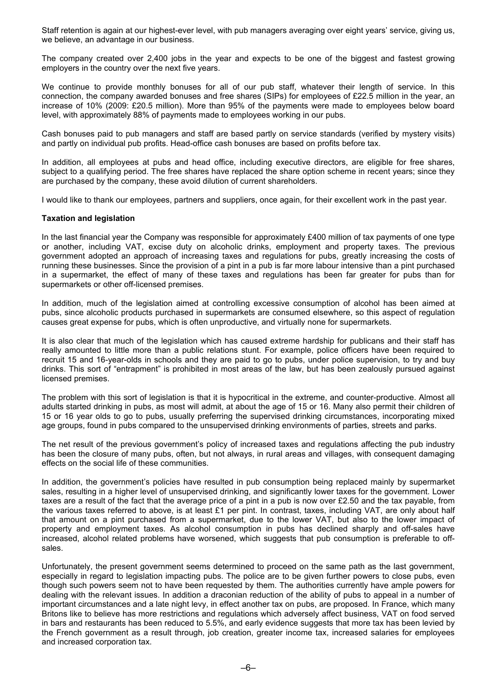Staff retention is again at our highest-ever level, with pub managers averaging over eight years' service, giving us, we believe, an advantage in our business.

The company created over 2,400 jobs in the year and expects to be one of the biggest and fastest growing employers in the country over the next five years.

We continue to provide monthly bonuses for all of our pub staff, whatever their length of service. In this connection, the company awarded bonuses and free shares (SIPs) for employees of £22.5 million in the year, an increase of 10% (2009: £20.5 million). More than 95% of the payments were made to employees below board level, with approximately 88% of payments made to employees working in our pubs.

Cash bonuses paid to pub managers and staff are based partly on service standards (verified by mystery visits) and partly on individual pub profits. Head-office cash bonuses are based on profits before tax.

In addition, all employees at pubs and head office, including executive directors, are eligible for free shares, subject to a qualifying period. The free shares have replaced the share option scheme in recent years; since they are purchased by the company, these avoid dilution of current shareholders.

I would like to thank our employees, partners and suppliers, once again, for their excellent work in the past year.

## **Taxation and legislation**

In the last financial year the Company was responsible for approximately £400 million of tax payments of one type or another, including VAT, excise duty on alcoholic drinks, employment and property taxes. The previous government adopted an approach of increasing taxes and regulations for pubs, greatly increasing the costs of running these businesses. Since the provision of a pint in a pub is far more labour intensive than a pint purchased in a supermarket, the effect of many of these taxes and regulations has been far greater for pubs than for supermarkets or other off-licensed premises.

In addition, much of the legislation aimed at controlling excessive consumption of alcohol has been aimed at pubs, since alcoholic products purchased in supermarkets are consumed elsewhere, so this aspect of regulation causes great expense for pubs, which is often unproductive, and virtually none for supermarkets.

It is also clear that much of the legislation which has caused extreme hardship for publicans and their staff has really amounted to little more than a public relations stunt. For example, police officers have been required to recruit 15 and 16-year-olds in schools and they are paid to go to pubs, under police supervision, to try and buy drinks. This sort of "entrapment" is prohibited in most areas of the law, but has been zealously pursued against licensed premises.

The problem with this sort of legislation is that it is hypocritical in the extreme, and counter-productive. Almost all adults started drinking in pubs, as most will admit, at about the age of 15 or 16. Many also permit their children of 15 or 16 year olds to go to pubs, usually preferring the supervised drinking circumstances, incorporating mixed age groups, found in pubs compared to the unsupervised drinking environments of parties, streets and parks.

The net result of the previous government's policy of increased taxes and regulations affecting the pub industry has been the closure of many pubs, often, but not always, in rural areas and villages, with consequent damaging effects on the social life of these communities.

In addition, the government's policies have resulted in pub consumption being replaced mainly by supermarket sales, resulting in a higher level of unsupervised drinking, and significantly lower taxes for the government. Lower taxes are a result of the fact that the average price of a pint in a pub is now over £2.50 and the tax payable, from the various taxes referred to above, is at least £1 per pint. In contrast, taxes, including VAT, are only about half that amount on a pint purchased from a supermarket, due to the lower VAT, but also to the lower impact of property and employment taxes. As alcohol consumption in pubs has declined sharply and off-sales have increased, alcohol related problems have worsened, which suggests that pub consumption is preferable to offsales.

Unfortunately, the present government seems determined to proceed on the same path as the last government, especially in regard to legislation impacting pubs. The police are to be given further powers to close pubs, even though such powers seem not to have been requested by them. The authorities currently have ample powers for dealing with the relevant issues. In addition a draconian reduction of the ability of pubs to appeal in a number of important circumstances and a late night levy, in effect another tax on pubs, are proposed. In France, which many Britons like to believe has more restrictions and regulations which adversely affect business, VAT on food served in bars and restaurants has been reduced to 5.5%, and early evidence suggests that more tax has been levied by the French government as a result through, job creation, greater income tax, increased salaries for employees and increased corporation tax.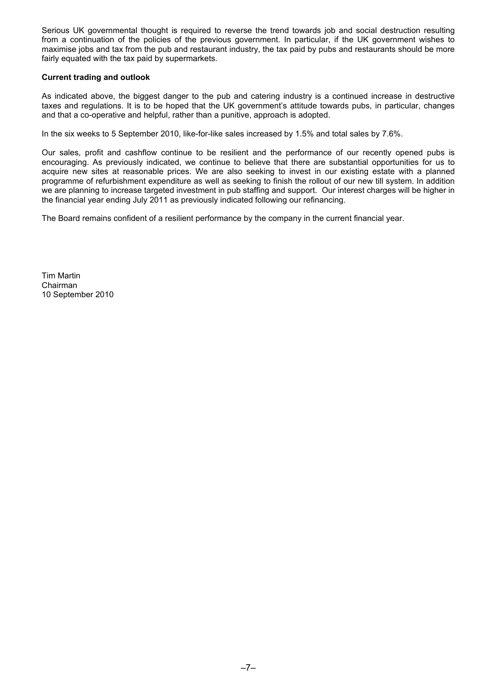Serious UK governmental thought is required to reverse the trend towards job and social destruction resulting from a continuation of the policies of the previous government. In particular, if the UK government wishes to maximise jobs and tax from the pub and restaurant industry, the tax paid by pubs and restaurants should be more fairly equated with the tax paid by supermarkets.

## **Current trading and outlook**

As indicated above, the biggest danger to the pub and catering industry is a continued increase in destructive taxes and regulations. It is to be hoped that the UK government's attitude towards pubs, in particular, changes and that a co-operative and helpful, rather than a punitive, approach is adopted.

In the six weeks to 5 September 2010, like-for-like sales increased by 1.5% and total sales by 7.6%.

Our sales, profit and cashflow continue to be resilient and the performance of our recently opened pubs is encouraging. As previously indicated, we continue to believe that there are substantial opportunities for us to acquire new sites at reasonable prices. We are also seeking to invest in our existing estate with a planned programme of refurbishment expenditure as well as seeking to finish the rollout of our new till system. In addition we are planning to increase targeted investment in pub staffing and support. Our interest charges will be higher in the financial year ending July 2011 as previously indicated following our refinancing.

The Board remains confident of a resilient performance by the company in the current financial year.

Tim Martin Chairman 10 September 2010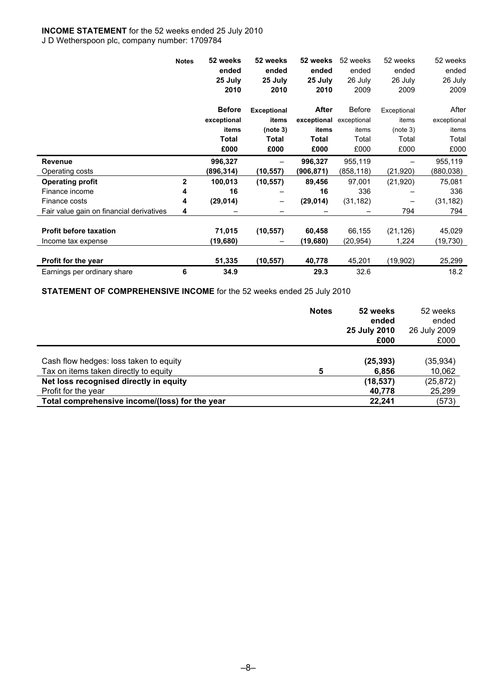## **INCOME STATEMENT** for the 52 weeks ended 25 July 2010

J D Wetherspoon plc, company number: 1709784

|                                          | <b>Notes</b>   | 52 weeks      | 52 weeks           | 52 weeks                | 52 weeks  | 52 weeks    | 52 weeks    |
|------------------------------------------|----------------|---------------|--------------------|-------------------------|-----------|-------------|-------------|
|                                          |                | ended         | ended              | ended                   | ended     | ended       | ended       |
|                                          |                | 25 July       | 25 July            | 25 July                 | 26 July   | 26 July     | 26 July     |
|                                          |                | 2010          | 2010               | 2010                    | 2009      | 2009        | 2009        |
|                                          |                | <b>Before</b> | <b>Exceptional</b> | After                   | Before    | Exceptional | After       |
|                                          |                | exceptional   | items              | exceptional exceptional |           | items       | exceptional |
|                                          |                | items         | (note 3)           | items                   | items     | (note 3)    | items       |
|                                          |                | <b>Total</b>  | Total              | <b>Total</b>            | Total     | Total       | Total       |
|                                          |                | £000          | £000               | £000                    | £000      | £000        | £000        |
| <b>Revenue</b>                           |                | 996,327       |                    | 996,327                 | 955,119   |             | 955,119     |
| Operating costs                          |                | (896,314)     | (10, 557)          | (906,871)               | (858,118) | (21, 920)   | (880, 038)  |
| <b>Operating profit</b>                  | $\overline{2}$ | 100,013       | (10, 557)          | 89,456                  | 97,001    | (21, 920)   | 75,081      |
| Finance income                           | 4              | 16            |                    | 16                      | 336       |             | 336         |
| Finance costs                            | 4              | (29, 014)     | -                  | (29, 014)               | (31, 182) |             | (31, 182)   |
| Fair value gain on financial derivatives | 4              |               |                    |                         |           | 794         | 794         |
|                                          |                |               |                    |                         |           |             |             |
| <b>Profit before taxation</b>            |                | 71,015        | (10, 557)          | 60,458                  | 66,155    | (21, 126)   | 45,029      |
| Income tax expense                       |                | (19,680)      |                    | (19,680)                | (20,954)  | 1,224       | (19, 730)   |
| <b>Profit for the year</b>               |                | 51,335        | (10, 557)          | 40,778                  | 45,201    | (19,902)    | 25,299      |
| Earnings per ordinary share              | 6              | 34.9          |                    | 29.3                    | 32.6      |             | 18.2        |

**STATEMENT OF COMPREHENSIVE INCOME** for the 52 weeks ended 25 July 2010

|                                                | <b>Notes</b> | 52 weeks<br>ended<br>25 July 2010<br>£000 | 52 weeks<br>ended<br>26 July 2009<br>£000 |
|------------------------------------------------|--------------|-------------------------------------------|-------------------------------------------|
|                                                |              |                                           |                                           |
| Cash flow hedges: loss taken to equity         |              | (25, 393)                                 | (35, 934)                                 |
| Tax on items taken directly to equity          | 5            | 6,856                                     | 10,062                                    |
| Net loss recognised directly in equity         |              | (18, 537)                                 | (25, 872)                                 |
| Profit for the year                            |              | 40,778                                    | 25,299                                    |
| Total comprehensive income/(loss) for the year |              | 22,241                                    | (573)                                     |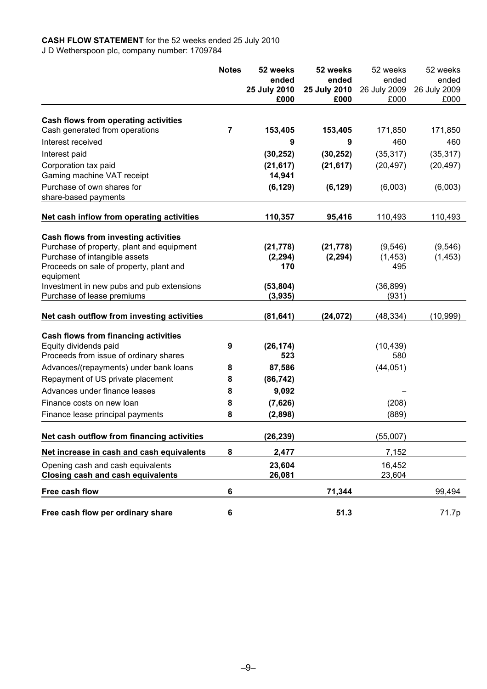## **CASH FLOW STATEMENT** for the 52 weeks ended 25 July 2010 J D Wetherspoon plc, company number: 1709784

|                                                                         | <b>Notes</b>   | 52 weeks             | 52 weeks     | 52 weeks           | 52 weeks     |
|-------------------------------------------------------------------------|----------------|----------------------|--------------|--------------------|--------------|
|                                                                         |                | ended                | ended        | ended              | ended        |
|                                                                         |                | 25 July 2010         | 25 July 2010 | 26 July 2009       | 26 July 2009 |
|                                                                         |                | £000                 | £000         | £000               | £000         |
|                                                                         |                |                      |              |                    |              |
| Cash flows from operating activities<br>Cash generated from operations  | $\overline{7}$ | 153,405              | 153,405      | 171,850            | 171,850      |
| Interest received                                                       |                | 9                    | 9            | 460                | 460          |
| Interest paid                                                           |                | (30, 252)            | (30, 252)    | (35, 317)          | (35, 317)    |
| Corporation tax paid                                                    |                | (21, 617)            | (21, 617)    | (20, 497)          | (20, 497)    |
| Gaming machine VAT receipt                                              |                | 14,941               |              |                    |              |
| Purchase of own shares for                                              |                | (6, 129)             | (6, 129)     | (6,003)            | (6,003)      |
| share-based payments                                                    |                |                      |              |                    |              |
|                                                                         |                |                      |              |                    |              |
| Net cash inflow from operating activities                               |                | 110,357              | 95,416       | 110,493            | 110,493      |
| Cash flows from investing activities                                    |                |                      |              |                    |              |
| Purchase of property, plant and equipment                               |                | (21, 778)            | (21, 778)    | (9, 546)           | (9, 546)     |
| Purchase of intangible assets                                           |                | (2, 294)             | (2, 294)     | (1, 453)           | (1, 453)     |
| Proceeds on sale of property, plant and                                 |                | 170                  |              | 495                |              |
| equipment                                                               |                |                      |              |                    |              |
| Investment in new pubs and pub extensions<br>Purchase of lease premiums |                | (53, 804)<br>(3,935) |              | (36, 899)<br>(931) |              |
|                                                                         |                |                      |              |                    |              |
| Net cash outflow from investing activities                              |                | (81, 641)            | (24, 072)    | (48, 334)          | (10, 999)    |
| Cash flows from financing activities                                    |                |                      |              |                    |              |
| Equity dividends paid                                                   | 9              | (26, 174)            |              | (10, 439)          |              |
| Proceeds from issue of ordinary shares                                  |                | 523                  |              | 580                |              |
| Advances/(repayments) under bank loans                                  | 8              | 87,586               |              | (44, 051)          |              |
| Repayment of US private placement                                       | 8              | (86, 742)            |              |                    |              |
| Advances under finance leases                                           | 8              | 9,092                |              |                    |              |
| Finance costs on new loan                                               | 8              | (7,626)              |              | (208)              |              |
| Finance lease principal payments                                        | 8              | (2,898)              |              | (889)              |              |
| Net cash outflow from financing activities                              |                | (26, 239)            |              | (55,007)           |              |
|                                                                         |                |                      |              |                    |              |
| Net increase in cash and cash equivalents                               | 8              | 2,477                |              | 7,152              |              |
| Opening cash and cash equivalents                                       |                | 23,604               |              | 16,452             |              |
| <b>Closing cash and cash equivalents</b>                                |                | 26,081               |              | 23,604             |              |
| Free cash flow                                                          | 6              |                      | 71,344       |                    | 99,494       |
| Free cash flow per ordinary share                                       | $\bf 6$        |                      | 51.3         |                    | 71.7p        |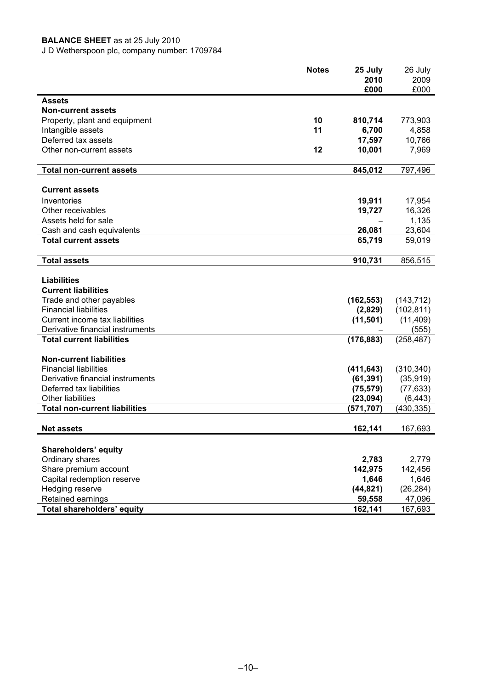## **BALANCE SHEET** as at 25 July 2010

J D Wetherspoon plc, company number: 1709784

|                                                | <b>Notes</b> | 25 July<br>2010 | 26 July<br>2009 |
|------------------------------------------------|--------------|-----------------|-----------------|
|                                                |              | £000            | £000            |
| Assets                                         |              |                 |                 |
| <b>Non-current assets</b>                      |              |                 |                 |
| Property, plant and equipment                  | 10           | 810,714         | 773,903         |
| Intangible assets                              | 11           | 6,700           | 4,858           |
| Deferred tax assets                            |              | 17,597          | 10,766          |
| Other non-current assets                       | 12           | 10,001          | 7,969           |
| <b>Total non-current assets</b>                |              | 845,012         | 797,496         |
|                                                |              |                 |                 |
| <b>Current assets</b>                          |              |                 |                 |
| Inventories                                    |              | 19,911          | 17,954          |
| Other receivables                              |              | 19,727          | 16,326          |
| Assets held for sale                           |              |                 | 1,135           |
| Cash and cash equivalents                      |              | 26,081          | 23,604          |
| <b>Total current assets</b>                    |              | 65,719          | 59,019          |
| <b>Total assets</b>                            |              | 910,731         | 856,515         |
|                                                |              |                 |                 |
| <b>Liabilities</b>                             |              |                 |                 |
| <b>Current liabilities</b>                     |              |                 |                 |
| Trade and other payables                       |              | (162, 553)      | (143, 712)      |
| <b>Financial liabilities</b>                   |              | (2,829)         | (102, 811)      |
| Current income tax liabilities                 |              | (11, 501)       | (11, 409)       |
| Derivative financial instruments               |              |                 | (555)           |
| <b>Total current liabilities</b>               |              | (176, 883)      | (258, 487)      |
| <b>Non-current liabilities</b>                 |              |                 |                 |
| <b>Financial liabilities</b>                   |              | (411, 643)      | (310, 340)      |
| Derivative financial instruments               |              | (61, 391)       | (35, 919)       |
| Deferred tax liabilities                       |              | (75, 579)       | (77, 633)       |
| <b>Other liabilities</b>                       |              | (23,094)        | (6, 443)        |
| <b>Total non-current liabilities</b>           |              | (571, 707)      | (430, 335)      |
| <b>Net assets</b>                              |              | 162,141         | 167,693         |
|                                                |              |                 |                 |
| <b>Shareholders' equity</b><br>Ordinary shares |              | 2,783           | 2,779           |
| Share premium account                          |              | 142,975         | 142,456         |
| Capital redemption reserve                     |              | 1,646           | 1,646           |
| Hedging reserve                                |              | (44, 821)       | (26, 284)       |
| Retained earnings                              |              | 59,558          | 47,096          |
| <b>Total shareholders' equity</b>              |              | 162,141         | 167,693         |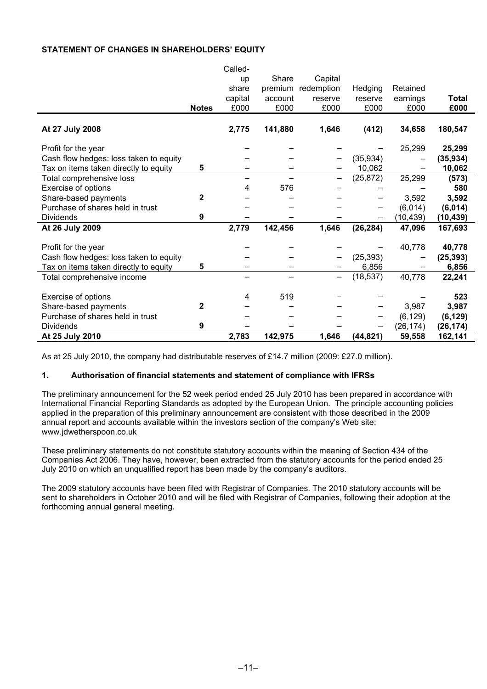## **STATEMENT OF CHANGES IN SHAREHOLDERS' EQUITY**

|                                        |              | Called- |         |            |           |           |           |
|----------------------------------------|--------------|---------|---------|------------|-----------|-----------|-----------|
|                                        |              | up      | Share   | Capital    |           |           |           |
|                                        |              | share   | premium | redemption | Hedging   | Retained  |           |
|                                        |              | capital | account | reserve    | reserve   | earnings  | Total     |
|                                        | <b>Notes</b> | £000    | £000    | £000       | £000      | £000      | £000      |
|                                        |              |         |         |            |           |           |           |
| At 27 July 2008                        |              | 2,775   | 141,880 | 1,646      | (412)     | 34,658    | 180,547   |
| Profit for the year                    |              |         |         |            |           | 25,299    | 25,299    |
| Cash flow hedges: loss taken to equity |              |         |         |            | (35, 934) |           | (35, 934) |
| Tax on items taken directly to equity  | 5            |         |         |            | 10,062    |           | 10,062    |
| Total comprehensive loss               |              |         |         |            | (25, 872) | 25,299    | (573)     |
| Exercise of options                    |              | 4       | 576     |            |           |           | 580       |
| Share-based payments                   | 2            |         |         |            |           | 3,592     | 3,592     |
| Purchase of shares held in trust       |              |         |         |            |           | (6,014)   | (6, 014)  |
| <b>Dividends</b>                       | 9            |         |         |            |           | (10, 439) | (10, 439) |
| At 26 July 2009                        |              | 2,779   | 142,456 | 1,646      | (26, 284) | 47,096    | 167,693   |
|                                        |              |         |         |            |           |           |           |
| Profit for the year                    |              |         |         |            |           | 40,778    | 40,778    |
| Cash flow hedges: loss taken to equity |              |         |         |            | (25, 393) |           | (25, 393) |
| Tax on items taken directly to equity  | 5            |         |         |            | 6,856     |           | 6,856     |
| Total comprehensive income             |              |         |         |            | (18, 537) | 40,778    | 22,241    |
|                                        |              |         |         |            |           |           |           |
| Exercise of options                    |              | 4       | 519     |            |           |           | 523       |
| Share-based payments                   | 2            |         |         |            |           | 3,987     | 3,987     |
| Purchase of shares held in trust       |              |         |         |            |           | (6, 129)  | (6, 129)  |
| <b>Dividends</b>                       | 9            |         |         |            |           | (26, 174) | (26, 174) |
| At 25 July 2010                        |              | 2,783   | 142,975 | 1,646      | (44, 821) | 59,558    | 162,141   |

Called-

As at 25 July 2010, the company had distributable reserves of £14.7 million (2009: £27.0 million).

## **1. Authorisation of financial statements and statement of compliance with IFRSs**

The preliminary announcement for the 52 week period ended 25 July 2010 has been prepared in accordance with International Financial Reporting Standards as adopted by the European Union. The principle accounting policies applied in the preparation of this preliminary announcement are consistent with those described in the 2009 annual report and accounts available within the investors section of the company's Web site: www.jdwetherspoon.co.uk

These preliminary statements do not constitute statutory accounts within the meaning of Section 434 of the Companies Act 2006. They have, however, been extracted from the statutory accounts for the period ended 25 July 2010 on which an unqualified report has been made by the company's auditors.

The 2009 statutory accounts have been filed with Registrar of Companies. The 2010 statutory accounts will be sent to shareholders in October 2010 and will be filed with Registrar of Companies, following their adoption at the forthcoming annual general meeting.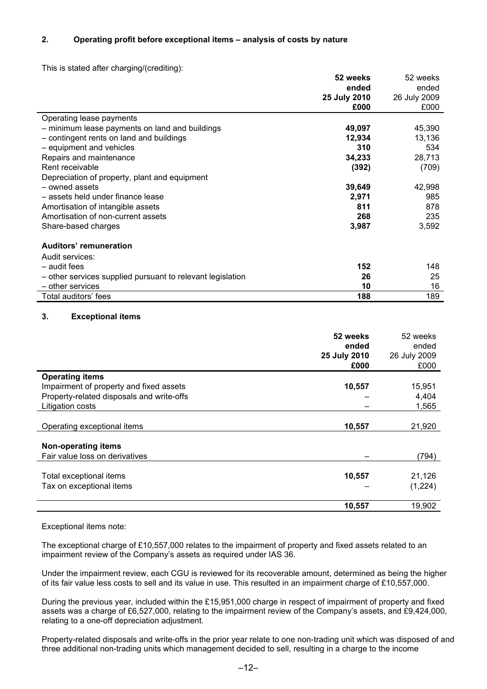## **2. Operating profit before exceptional items – analysis of costs by nature**

This is stated after charging/(crediting):

|                                                            | 52 weeks     | 52 weeks     |
|------------------------------------------------------------|--------------|--------------|
|                                                            | ended        | ended        |
|                                                            | 25 July 2010 | 26 July 2009 |
|                                                            | £000         | £000         |
| Operating lease payments                                   |              |              |
| - minimum lease payments on land and buildings             | 49,097       | 45,390       |
| - contingent rents on land and buildings                   | 12,934       | 13,136       |
| - equipment and vehicles                                   | 310          | 534          |
| Repairs and maintenance                                    | 34,233       | 28,713       |
| Rent receivable                                            | (392)        | (709)        |
| Depreciation of property, plant and equipment              |              |              |
| - owned assets                                             | 39,649       | 42,998       |
| - assets held under finance lease                          | 2,971        | 985          |
| Amortisation of intangible assets                          | 811          | 878          |
| Amortisation of non-current assets                         | 268          | 235          |
| Share-based charges                                        | 3,987        | 3,592        |
| <b>Auditors' remuneration</b>                              |              |              |
| Audit services:                                            |              |              |
| - audit fees                                               | 152          | 148          |
| - other services supplied pursuant to relevant legislation | 26           | 25           |
| - other services                                           | 10           | 16           |
| Total auditors' fees                                       | 188          | 189          |

## **3. Exceptional items**

|                                           | 52 weeks     | 52 weeks     |
|-------------------------------------------|--------------|--------------|
|                                           | ended        | ended        |
|                                           | 25 July 2010 | 26 July 2009 |
|                                           | £000         | £000         |
| <b>Operating items</b>                    |              |              |
| Impairment of property and fixed assets   | 10,557       | 15,951       |
| Property-related disposals and write-offs |              | 4,404        |
| Litigation costs                          |              | 1,565        |
|                                           |              |              |
| Operating exceptional items               | 10,557       | 21,920       |
|                                           |              |              |
| <b>Non-operating items</b>                |              |              |
| Fair value loss on derivatives            |              | (794)        |
|                                           |              |              |
| Total exceptional items                   | 10,557       | 21,126       |
| Tax on exceptional items                  |              | (1,224)      |
|                                           |              |              |
|                                           | 10,557       | 19,902       |

## Exceptional items note:

The exceptional charge of £10,557,000 relates to the impairment of property and fixed assets related to an impairment review of the Company's assets as required under IAS 36.

Under the impairment review, each CGU is reviewed for its recoverable amount, determined as being the higher of its fair value less costs to sell and its value in use. This resulted in an impairment charge of £10,557,000.

During the previous year, included within the £15,951,000 charge in respect of impairment of property and fixed assets was a charge of £6,527,000, relating to the impairment review of the Company's assets, and £9,424,000, relating to a one-off depreciation adjustment.

Property-related disposals and write-offs in the prior year relate to one non-trading unit which was disposed of and three additional non-trading units which management decided to sell, resulting in a charge to the income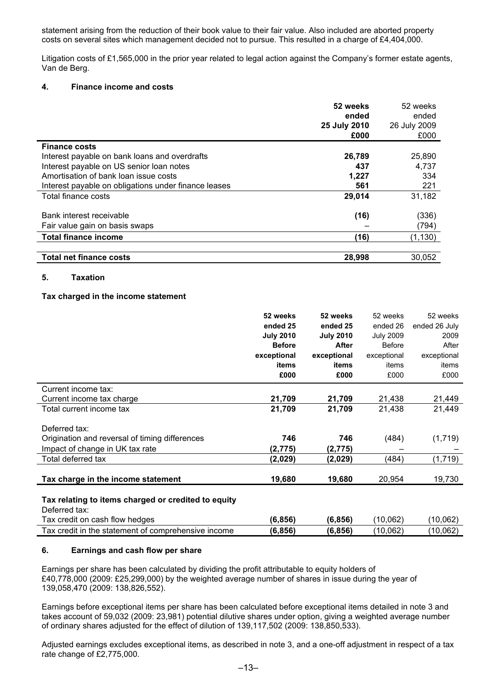statement arising from the reduction of their book value to their fair value. Also included are aborted property costs on several sites which management decided not to pursue. This resulted in a charge of £4,404,000.

Litigation costs of £1,565,000 in the prior year related to legal action against the Company's former estate agents, Van de Berg.

## **4. Finance income and costs**

|                                                      | 52 weeks<br>ended<br>25 July 2010<br>£000 | 52 weeks<br>ended<br>26 July 2009<br>£000 |
|------------------------------------------------------|-------------------------------------------|-------------------------------------------|
| <b>Finance costs</b>                                 |                                           |                                           |
| Interest payable on bank loans and overdrafts        | 26,789                                    | 25,890                                    |
| Interest payable on US senior loan notes             | 437                                       | 4,737                                     |
| Amortisation of bank loan issue costs                | 1,227                                     | 334                                       |
| Interest payable on obligations under finance leases | 561                                       | 221                                       |
| Total finance costs                                  | 29,014                                    | 31,182                                    |
| Bank interest receivable                             | (16)                                      | (336)                                     |
| Fair value gain on basis swaps                       |                                           | (794)                                     |
| <b>Total finance income</b>                          | (16)                                      | (1, 130)                                  |
| <b>Total net finance costs</b>                       |                                           |                                           |
|                                                      | 28,998                                    | 30,052                                    |

## **5. Taxation**

## **Tax charged in the income statement**

|                                                                      | 52 weeks         | 52 weeks         | 52 weeks         | 52 weeks      |
|----------------------------------------------------------------------|------------------|------------------|------------------|---------------|
|                                                                      | ended 25         | ended 25         | ended 26         | ended 26 July |
|                                                                      | <b>July 2010</b> | <b>July 2010</b> | <b>July 2009</b> | 2009          |
|                                                                      | <b>Before</b>    | After            | <b>Before</b>    | After         |
|                                                                      | exceptional      | exceptional      | exceptional      | exceptional   |
|                                                                      | items            | items            | items            | items         |
|                                                                      | £000             | £000             | £000             | £000          |
| Current income tax:                                                  |                  |                  |                  |               |
| Current income tax charge                                            | 21,709           | 21,709           | 21,438           | 21,449        |
| Total current income tax                                             | 21,709           | 21,709           | 21,438           | 21,449        |
| Deferred tax:                                                        |                  |                  |                  |               |
| Origination and reversal of timing differences                       | 746              | 746              | (484)            | (1,719)       |
| Impact of change in UK tax rate                                      | (2, 775)         | (2,775)          |                  |               |
| Total deferred tax                                                   | (2,029)          | (2,029)          | (484)            | (1,719)       |
| Tax charge in the income statement                                   | 19,680           | 19,680           | 20,954           | 19,730        |
| Tax relating to items charged or credited to equity<br>Deferred tax: |                  |                  |                  |               |
| Tax credit on cash flow hedges                                       | (6, 856)         | (6, 856)         | (10,062)         | (10,062)      |
| Tax credit in the statement of comprehensive income                  | (6, 856)         | (6, 856)         | (10,062)         | (10,062)      |

## **6. Earnings and cash flow per share**

Earnings per share has been calculated by dividing the profit attributable to equity holders of £40,778,000 (2009: £25,299,000) by the weighted average number of shares in issue during the year of 139,058,470 (2009: 138,826,552).

Earnings before exceptional items per share has been calculated before exceptional items detailed in note 3 and takes account of 59,032 (2009: 23,981) potential dilutive shares under option, giving a weighted average number of ordinary shares adjusted for the effect of dilution of 139,117,502 (2009: 138,850,533).

Adjusted earnings excludes exceptional items, as described in note 3, and a one-off adjustment in respect of a tax rate change of £2,775,000.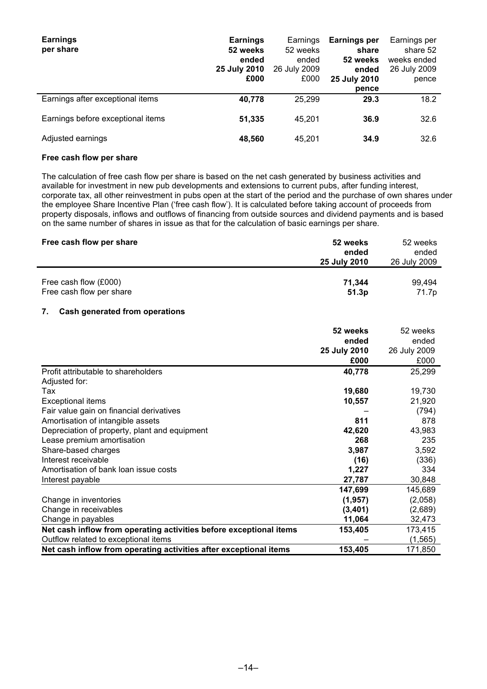| <b>Earnings</b><br>per share      | <b>Earnings</b><br>52 weeks<br>ended<br>25 July 2010<br>£000 | Earnings<br>52 weeks<br>ended<br>26 July 2009<br>£000 | Earnings per<br>share<br>52 weeks<br>ended<br>25 July 2010<br>pence | Earnings per<br>share 52<br>weeks ended<br>26 July 2009<br>pence |
|-----------------------------------|--------------------------------------------------------------|-------------------------------------------------------|---------------------------------------------------------------------|------------------------------------------------------------------|
| Earnings after exceptional items  | 40,778                                                       | 25,299                                                | 29.3                                                                | 18.2                                                             |
| Earnings before exceptional items | 51,335                                                       | 45.201                                                | 36.9                                                                | 32.6                                                             |
| Adjusted earnings                 | 48,560                                                       | 45,201                                                | 34.9                                                                | 32.6                                                             |

## **Free cash flow per share**

The calculation of free cash flow per share is based on the net cash generated by business activities and available for investment in new pub developments and extensions to current pubs, after funding interest, corporate tax, all other reinvestment in pubs open at the start of the period and the purchase of own shares under the employee Share Incentive Plan ('free cash flow'). It is calculated before taking account of proceeds from property disposals, inflows and outflows of financing from outside sources and dividend payments and is based on the same number of shares in issue as that for the calculation of basic earnings per share.

| Free cash flow per share | 52 weeks<br>ended<br><b>25 July 2010</b> | 52 weeks<br>ended<br>26 July 2009 |
|--------------------------|------------------------------------------|-----------------------------------|
| Free cash flow (£000)    | 71.344                                   | 99.494                            |
| Free cash flow per share | 51.3p                                    | 71.7p                             |

## **7. Cash generated from operations**

|                                                                    | 52 weeks     | 52 weeks     |
|--------------------------------------------------------------------|--------------|--------------|
|                                                                    | ended        | ended        |
|                                                                    | 25 July 2010 | 26 July 2009 |
|                                                                    | £000         | £000         |
| Profit attributable to shareholders                                | 40,778       | 25,299       |
| Adjusted for:                                                      |              |              |
| Tax                                                                | 19,680       | 19,730       |
| <b>Exceptional items</b>                                           | 10,557       | 21,920       |
| Fair value gain on financial derivatives                           |              | (794)        |
| Amortisation of intangible assets                                  | 811          | 878          |
| Depreciation of property, plant and equipment                      | 42,620       | 43,983       |
| Lease premium amortisation                                         | 268          | 235          |
| Share-based charges                                                | 3,987        | 3,592        |
| Interest receivable                                                | (16)         | (336)        |
| Amortisation of bank loan issue costs                              | 1,227        | 334          |
| Interest payable                                                   | 27,787       | 30,848       |
|                                                                    | 147,699      | 145,689      |
| Change in inventories                                              | (1, 957)     | (2,058)      |
| Change in receivables                                              | (3,401)      | (2,689)      |
| Change in payables                                                 | 11,064       | 32,473       |
| Net cash inflow from operating activities before exceptional items | 153,405      | 173,415      |
| Outflow related to exceptional items                               |              | (1, 565)     |
| Net cash inflow from operating activities after exceptional items  | 153,405      | 171,850      |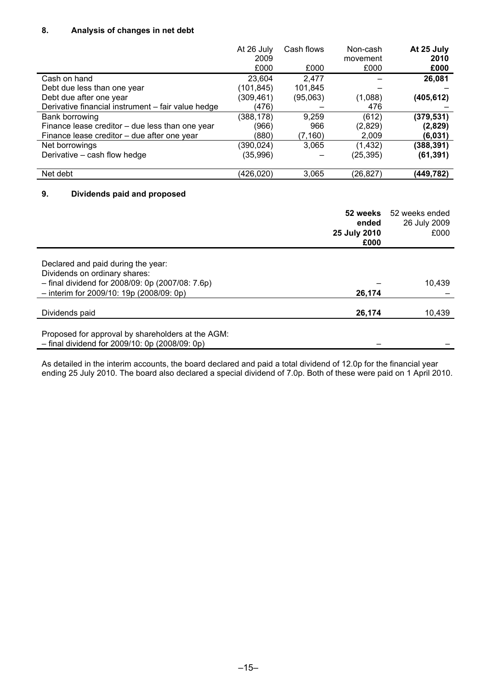## **8. Analysis of changes in net debt**

|                                                    | At 26 July<br>2009<br>£000 | Cash flows<br>£000 | Non-cash<br>movement<br>£000 | At 25 July<br>2010<br>£000 |
|----------------------------------------------------|----------------------------|--------------------|------------------------------|----------------------------|
| Cash on hand                                       | 23,604                     | 2.477              |                              | 26,081                     |
| Debt due less than one year                        | (101,845)                  | 101,845            |                              |                            |
| Debt due after one year                            | (309,461)                  | (95,063)           | (1,088)                      | (405, 612)                 |
| Derivative financial instrument - fair value hedge | (476)                      |                    | 476                          |                            |
| Bank borrowing                                     | (388, 178)                 | 9,259              | (612)                        | (379, 531)                 |
| Finance lease creditor – due less than one year    | (966)                      | 966                | (2,829)                      | (2,829)                    |
| Finance lease creditor – due after one year        | (880)                      | (7, 160)           | 2,009                        | (6,031)                    |
| Net borrowings                                     | (390,024)                  | 3,065              | (1, 432)                     | (388, 391)                 |
| Derivative – cash flow hedge                       | (35,996)                   |                    | (25,395)                     | (61, 391)                  |
| Net debt                                           | (426,020)                  | 3,065              | (26,827)                     | (449,782)                  |
| 9<br>Dividends paid and proposed                   |                            |                    |                              |                            |

## **9. Dividends paid and proposed**

|                                                                                                                                   | 52 weeks<br>ended<br>25 July 2010<br>£000 | 52 weeks ended<br>26 July 2009<br>£000 |
|-----------------------------------------------------------------------------------------------------------------------------------|-------------------------------------------|----------------------------------------|
| Declared and paid during the year:                                                                                                |                                           |                                        |
| Dividends on ordinary shares:<br>$-$ final dividend for 2008/09: 0p (2007/08: 7.6p)<br>$-$ interim for 2009/10: 19p (2008/09: 0p) | 26,174                                    | 10.439                                 |
| Dividends paid                                                                                                                    | 26,174                                    | 10,439                                 |
| Proposed for approval by shareholders at the AGM:<br>$-$ final dividend for 2009/10: 0p (2008/09: 0p)                             |                                           |                                        |

As detailed in the interim accounts, the board declared and paid a total dividend of 12.0p for the financial year ending 25 July 2010. The board also declared a special dividend of 7.0p. Both of these were paid on 1 April 2010.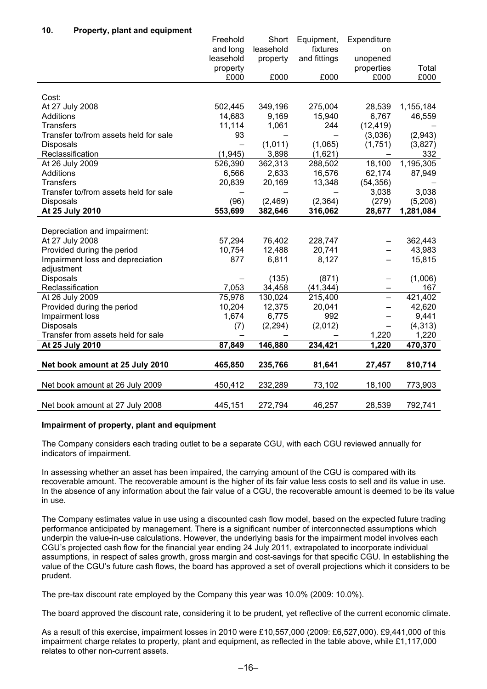## **10. Property, plant and equipment**

|                                       | Freehold                 | Short     | Equipment,   | Expenditure              |           |
|---------------------------------------|--------------------------|-----------|--------------|--------------------------|-----------|
|                                       | and long                 | leasehold | fixtures     | on                       |           |
|                                       | leasehold                | property  | and fittings | unopened                 |           |
|                                       | property                 |           |              | properties               | Total     |
|                                       | £000                     | £000      | £000         | £000                     | £000      |
|                                       |                          |           |              |                          |           |
| Cost:                                 |                          |           |              |                          |           |
| At 27 July 2008                       | 502,445                  | 349,196   | 275,004      | 28,539                   | 1,155,184 |
| <b>Additions</b>                      | 14,683                   | 9,169     | 15,940       | 6,767                    | 46,559    |
| <b>Transfers</b>                      | 11,114                   | 1,061     | 244          | (12, 419)                |           |
| Transfer to/from assets held for sale | 93                       |           |              | (3,036)                  | (2,943)   |
| Disposals                             | $\overline{\phantom{0}}$ | (1,011)   | (1,065)      | (1,751)                  | (3,827)   |
| Reclassification                      | (1, 945)                 | 3,898     | (1,621)      |                          | 332       |
| At 26 July 2009                       | 526,390                  | 362,313   | 288,502      | 18,100                   | 1,195,305 |
| <b>Additions</b>                      | 6,566                    | 2,633     | 16,576       | 62,174                   | 87,949    |
| <b>Transfers</b>                      | 20,839                   | 20,169    | 13,348       | (54, 356)                |           |
| Transfer to/from assets held for sale |                          |           |              | 3,038                    | 3,038     |
| <b>Disposals</b>                      | (96)                     | (2,469)   | (2, 364)     | (279)                    | (5,208)   |
| At 25 July 2010                       | 553,699                  | 382,646   | 316,062      | 28,677                   | 1,281,084 |
|                                       |                          |           |              |                          |           |
| Depreciation and impairment:          |                          |           |              |                          |           |
| At 27 July 2008                       | 57,294                   | 76,402    | 228,747      |                          | 362,443   |
| Provided during the period            | 10,754                   | 12,488    | 20,741       |                          | 43,983    |
| Impairment loss and depreciation      | 877                      | 6,811     | 8,127        |                          | 15,815    |
| adjustment                            |                          |           |              |                          |           |
| Disposals                             |                          | (135)     | (871)        | —                        | (1,006)   |
| Reclassification                      | 7,053                    | 34,458    | (41, 344)    | -                        | 167       |
| At 26 July 2009                       | 75,978                   | 130,024   | 215,400      | $\overline{\phantom{0}}$ | 421,402   |
| Provided during the period            | 10,204                   | 12,375    | 20,041       | —                        | 42,620    |
| Impairment loss                       | 1,674                    | 6,775     | 992          | —                        | 9,441     |
| <b>Disposals</b>                      | (7)                      | (2, 294)  | (2,012)      |                          | (4, 313)  |
| Transfer from assets held for sale    |                          |           |              | 1,220                    | 1,220     |
| At 25 July 2010                       | 87,849                   | 146,880   | 234,421      | 1,220                    | 470,370   |
|                                       |                          |           |              |                          |           |
| Net book amount at 25 July 2010       | 465,850                  | 235,766   | 81,641       | 27,457                   | 810,714   |
|                                       |                          |           |              |                          |           |
| Net book amount at 26 July 2009       | 450,412                  | 232,289   | 73,102       | 18,100                   | 773,903   |
| Net book amount at 27 July 2008       |                          |           |              |                          |           |

## **Impairment of property, plant and equipment**

The Company considers each trading outlet to be a separate CGU, with each CGU reviewed annually for indicators of impairment.

In assessing whether an asset has been impaired, the carrying amount of the CGU is compared with its recoverable amount. The recoverable amount is the higher of its fair value less costs to sell and its value in use. In the absence of any information about the fair value of a CGU, the recoverable amount is deemed to be its value in use.

The Company estimates value in use using a discounted cash flow model, based on the expected future trading performance anticipated by management. There is a significant number of interconnected assumptions which underpin the value-in-use calculations. However, the underlying basis for the impairment model involves each CGU's projected cash flow for the financial year ending 24 July 2011, extrapolated to incorporate individual assumptions, in respect of sales growth, gross margin and cost-savings for that specific CGU. In establishing the value of the CGU's future cash flows, the board has approved a set of overall projections which it considers to be prudent.

The pre-tax discount rate employed by the Company this year was 10.0% (2009: 10.0%).

The board approved the discount rate, considering it to be prudent, yet reflective of the current economic climate.

As a result of this exercise, impairment losses in 2010 were £10,557,000 (2009: £6,527,000). £9,441,000 of this impairment charge relates to property, plant and equipment, as reflected in the table above, while £1,117,000 relates to other non-current assets.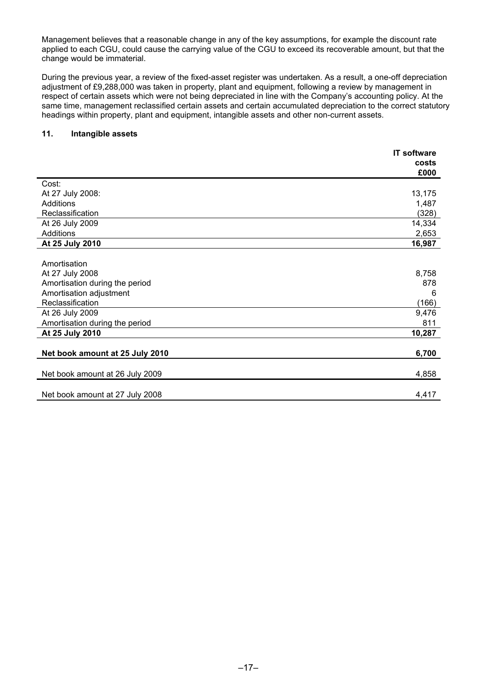Management believes that a reasonable change in any of the key assumptions, for example the discount rate applied to each CGU, could cause the carrying value of the CGU to exceed its recoverable amount, but that the change would be immaterial.

During the previous year, a review of the fixed-asset register was undertaken. As a result, a one-off depreciation adjustment of £9,288,000 was taken in property, plant and equipment, following a review by management in respect of certain assets which were not being depreciated in line with the Company's accounting policy. At the same time, management reclassified certain assets and certain accumulated depreciation to the correct statutory headings within property, plant and equipment, intangible assets and other non-current assets.

## **11. Intangible assets**

|                                 | <b>IT software</b> |
|---------------------------------|--------------------|
|                                 | costs              |
|                                 | £000               |
| Cost:                           |                    |
| At 27 July 2008:                | 13,175             |
| Additions                       | 1,487              |
| Reclassification                | (328)              |
| At 26 July 2009                 | 14,334             |
| Additions                       | 2,653              |
| At 25 July 2010                 | 16,987             |
|                                 |                    |
| Amortisation                    |                    |
| At 27 July 2008                 | 8,758              |
| Amortisation during the period  | 878                |
| Amortisation adjustment         | 6                  |
| Reclassification                | (166)              |
| At 26 July 2009                 | 9,476              |
| Amortisation during the period  | 811                |
| At 25 July 2010                 | 10,287             |
|                                 |                    |
| Net book amount at 25 July 2010 | 6,700              |
|                                 |                    |
| Net book amount at 26 July 2009 | 4,858              |
|                                 |                    |
| Net book amount at 27 July 2008 | 4,417              |